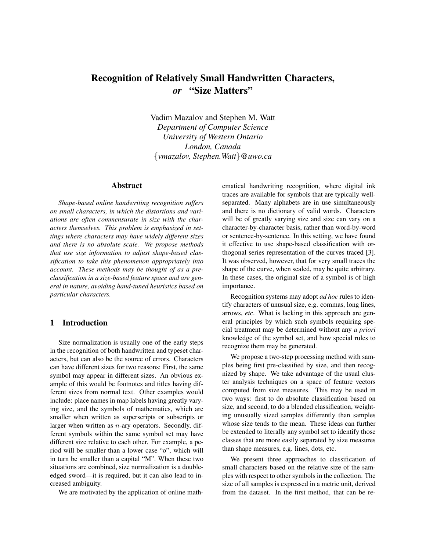# Recognition of Relatively Small Handwritten Characters, *or* "Size Matters"

Vadim Mazalov and Stephen M. Watt *Department of Computer Science University of Western Ontario London, Canada* {*vmazalov, Stephen.Watt*}*@uwo.ca*

#### Abstract

*Shape-based online handwriting recognition suffers on small characters, in which the distortions and variations are often commensurate in size with the characters themselves. This problem is emphasized in settings where characters may have widely different sizes and there is no absolute scale. We propose methods that use size information to adjust shape-based classification to take this phenomenon appropriately into account. These methods may be thought of as a preclassification in a size-based feature space and are general in nature, avoiding hand-tuned heuristics based on particular characters.*

# 1 Introduction

Size normalization is usually one of the early steps in the recognition of both handwritten and typeset characters, but can also be the source of errors. Characters can have different sizes for two reasons: First, the same symbol may appear in different sizes. An obvious example of this would be footnotes and titles having different sizes from normal text. Other examples would include: place names in map labels having greatly varying size, and the symbols of mathematics, which are smaller when written as superscripts or subscripts or larger when written as  $n$ -ary operators. Secondly, different symbols within the same symbol set may have different size relative to each other. For example, a period will be smaller than a lower case "o", which will in turn be smaller than a capital "M". When these two situations are combined, size normalization is a doubleedged sword—it is required, but it can also lead to increased ambiguity.

We are motivated by the application of online math-

ematical handwriting recognition, where digital ink traces are available for symbols that are typically wellseparated. Many alphabets are in use simultaneously and there is no dictionary of valid words. Characters will be of greatly varying size and size can vary on a character-by-character basis, rather than word-by-word or sentence-by-sentence. In this setting, we have found it effective to use shape-based classification with orthogonal series representation of the curves traced [3]. It was observed, however, that for very small traces the shape of the curve, when scaled, may be quite arbitrary. In these cases, the original size of a symbol is of high importance.

Recognition systems may adopt *ad hoc* rules to identify characters of unusual size, e.g. commas, long lines, arrows, *etc*. What is lacking in this approach are general principles by which such symbols requiring special treatment may be determined without any *a priori* knowledge of the symbol set, and how special rules to recognize them may be generated.

We propose a two-step processing method with samples being first pre-classified by size, and then recognized by shape. We take advantage of the usual cluster analysis techniques on a space of feature vectors computed from size measures. This may be used in two ways: first to do absolute classification based on size, and second, to do a blended classification, weighting unusually sized samples differently than samples whose size tends to the mean. These ideas can further be extended to literally any symbol set to identify those classes that are more easily separated by size measures than shape measures, e.g. lines, dots, etc.

We present three approaches to classification of small characters based on the relative size of the samples with respect to other symbols in the collection. The size of all samples is expressed in a metric unit, derived from the dataset. In the first method, that can be re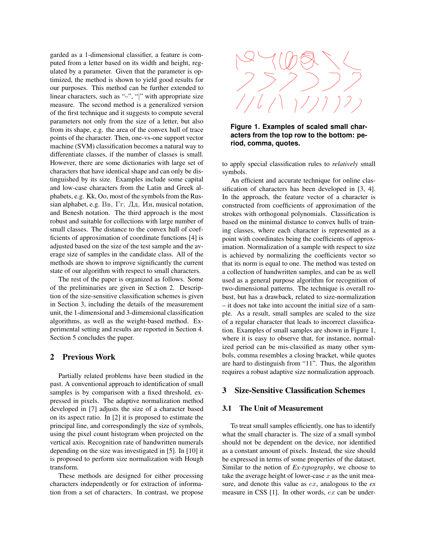garded as a 1-dimensional classifier, a feature is computed from a letter based on its width and height, regulated by a parameter. Given that the parameter is optimized, the method is shown to yield good results for our purposes. This method can be further extended to linear characters, such as "–", "|" with appropriate size measure. The second method is a generalized version of the first technique and it suggests to compute several parameters not only from the size of a letter, but also from its shape, e.g. the area of the convex hull of trace points of the character. Then, one-vs-one support vector machine (SVM) classification becomes a natural way to differentiate classes, if the number of classes is small. However, there are some dictionaries with large set of characters that have identical shape and can only be distinguished by its size. Examples include some capital and low-case characters from the Latin and Greek alphabets, e.g. Kk, Oo, most of the symbols from the Russian alphabet, e.g. BB,  $\Gamma$ r,  $\Box$  $\Box$ ,  $\Box$ *Mu*, musical notation, and Benesh notation. The third approach is the most robust and suitable for collections with large number of small classes. The distance to the convex hull of coefficients of approximation of coordinate functions [4] is adjusted based on the size of the test sample and the average size of samples in the candidate class. All of the methods are shown to improve significantly the current state of our algorithm with respect to small characters.

The rest of the paper is organized as follows. Some of the preliminaries are given in Section 2. Description of the size-sensitive classification schemes is given in Section 3, including the details of the measurement unit, the 1-dimensional and 3-dimensional classification algorithms, as well as the weight-based method. Experimental setting and results are reported in Section 4. Section 5 concludes the paper.

# 2 Previous Work

Partially related problems have been studied in the past. A conventional approach to identification of small samples is by comparison with a fixed threshold, expressed in pixels. The adaptive normalization method developed in [7] adjusts the size of a character based on its aspect ratio. In [2] it is proposed to estimate the principal line, and correspondingly the size of symbols, using the pixel count histogram when projected on the vertical axis. Recognition rate of handwritten numerals depending on the size was investigated in [5]. In [10] it is proposed to perform size normalization with Hough transform.

These methods are designed for either processing characters independently or for extraction of information from a set of characters. In contrast, we propose



**Figure 1. Examples of scaled small characters from the top row to the bottom: period, comma, quotes.**

to apply special classification rules to *relatively* small symbols.

An efficient and accurate technique for online classification of characters has been developed in [3, 4]. In the approach, the feature vector of a character is constructed from coefficients of approximation of the strokes with orthogonal polynomials. Classification is based on the minimal distance to convex hulls of training classes, where each character is represented as a point with coordinates being the coefficients of approximation. Normalization of a sample with respect to size is achieved by normalizing the coefficients vector so that its norm is equal to one. The method was tested on a collection of handwritten samples, and can be as well used as a general purpose algorithm for recognition of two-dimensional patterns. The technique is overall robust, but has a drawback, related to size-normalization – it does not take into account the initial size of a sample. As a result, small samples are scaled to the size of a regular character that leads to incorrect classification. Examples of small samples are shown in Figure 1, where it is easy to observe that, for instance, normalized period can be mis-classified as many other symbols, comma resembles a closing bracket, while quotes are hard to distinguish from "11". Thus, the algorithm requires a robust adaptive size normalization approach.

# 3 Size-Sensitive Classification Schemes

### 3.1 The Unit of Measurement

To treat small samples efficiently, one has to identify what the small character is. The size of a small symbol should not be dependent on the device, nor identified as a constant amount of pixels. Instead, the size should be expressed in terms of some properties of the dataset. Similar to the notion of *Ex-typography*, we choose to take the average height of lower-case  $x$  as the unit measure, and denote this value as ex, analogous to the *ex* measure in CSS [1]. In other words, ex can be under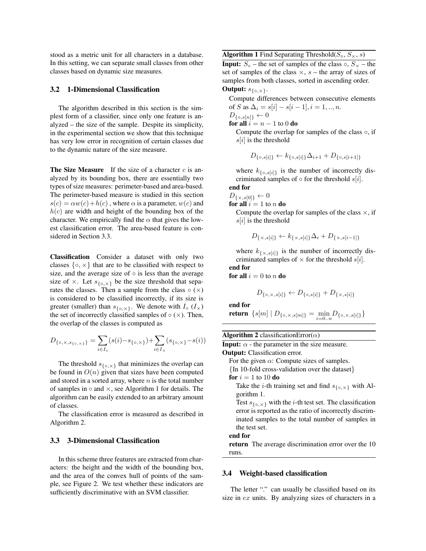stood as a metric unit for all characters in a database. In this setting, we can separate small classes from other classes based on dynamic size measures.

#### 3.2 1-Dimensional Classification

The algorithm described in this section is the simplest form of a classifier, since only one feature is analyzed – the size of the sample. Despite its simplicity, in the experimental section we show that this technique has very low error in recognition of certain classes due to the dynamic nature of the size measure.

**The Size Measure** If the size of a character  $c$  is analyzed by its bounding box, there are essentially two types of size measures: perimeter-based and area-based. The perimeter-based measure is studied in this section  $s(c) = \alpha w(c) + h(c)$ , where  $\alpha$  is a parameter,  $w(c)$  and  $h(c)$  are width and height of the bounding box of the character. We empirically find the  $\alpha$  that gives the lowest classification error. The area-based feature is considered in Section 3.3.

Classification Consider a dataset with only two classes  $\{\circ, \times\}$  that are to be classified with respect to size, and the average size of  $\circ$  is less than the average size of  $\times$ . Let  $s_{\{\circ,\times\}}$  be the size threshold that separates the classes. Then a sample from the class  $\circ$  ( $\times$ ) is considered to be classified incorrectly, if its size is greater (smaller) than  $s_{\{\circ, \times\}}$ . We denote with  $I_{\circ}$  ( $I_{\times}$ ) the set of incorrectly classified samples of  $\circ$  ( $\times$ ). Then, the overlap of the classes is computed as

$$
D_{\{\circ,\times,s_{\{\circ,\times\}}\}}=\sum_{i\in I_\circ}(s(i)-s_{\{\circ,\times\}})+\sum_{i\in I_\times}(s_{\{\circ,\times\}}-s(i))
$$

The threshold  $s_{\{\circ,\times\}}$  that minimizes the overlap can be found in  $O(n)$  given that sizes have been computed and stored in a sorted array, where  $n$  is the total number of samples in  $\circ$  and  $\times$ , see Algorithm 1 for details. The algorithm can be easily extended to an arbitrary amount of classes.

The classification error is measured as described in Algorithm 2.

## 3.3 3-Dimensional Classification

In this scheme three features are extracted from characters: the height and the width of the bounding box, and the area of the convex hull of points of the sample, see Figure 2. We test whether these indicators are sufficiently discriminative with an SVM classifier.

Algorithm 1 Find Separating Threshold $(S_0, S_\times, s)$ 

**Input:**  $S_{\circ}$  – the set of samples of the class  $\circ$ ,  $S_{\times}$  – the set of samples of the class  $\times$ ,  $s$  – the array of sizes of samples from both classes, sorted in ascending order. Output:  $s_{\{\circ,\times\}}$ .

Compute differences between consecutive elements of S as  $\Delta_i = s[i] - s[i-1], i = 1, ..., n$ .  $D_{\{\circ,s[n]\}} \leftarrow 0$ 

for all  $i = n - 1$  to 0 do

Compute the overlap for samples of the class  $\circ$ , if  $s[i]$  is the threshold

$$
D_{\{\circ,s[i]\}} \leftarrow k_{\{\circ,s[i]\}} \Delta_{i+1} + D_{\{\circ,s[i+1]\}}
$$

where  $k_{\{\circ,s[i]\}}$  is the number of incorrectly discriminated samples of  $\circ$  for the threshold s[i]. end for

 $D_{\{\times, s[0]\}} \leftarrow 0$ for all  $i = 1$  to n do

> Compute the overlap for samples of the class  $\times$ , if  $s[i]$  is the threshold

$$
D_{\{\times, s[i]\}} \leftarrow k_{\{\times, s[i]\}} \Delta_i + D_{\{\times, s[i-1]\}}
$$

where  $k_{\{\times, s[i]\}}$  is the number of incorrectly discriminated samples of  $\times$  for the threshold s[i].

# end for

for all  $i = 0$  to n do

$$
D_{\{\circ,\times,s[i]\}} \leftarrow D_{\{\circ,s[i]\}} + D_{\{\times,s[i]\}}
$$

end for

**return**  $\{s[m] | D_{\{\circ, \times, s[m]\}} = \min_{i=0..n} D_{\{\circ, \times, s[i]\}}\}$ 

Algorithm 2 classificationError( $\alpha$ )

**Input:**  $\alpha$  - the parameter in the size measure.

Output: Classification error.

For the given  $\alpha$ : Compute sizes of samples.

{In 10-fold cross-validation over the dataset}

for  $i = 1$  to 10 do

Take the *i*-th training set and find  $s_{\{\circ, \times\}}$  with Algorithm 1.

Test  $s_{\{\circ, \times\}}$  with the *i*-th test set. The classification error is reported as the ratio of incorrectly discriminated samples to the total number of samples in the test set.

end for

return The average discrimination error over the 10 runs.

#### 3.4 Weight-based classification

The letter "." can usually be classified based on its size in ex units. By analyzing sizes of characters in a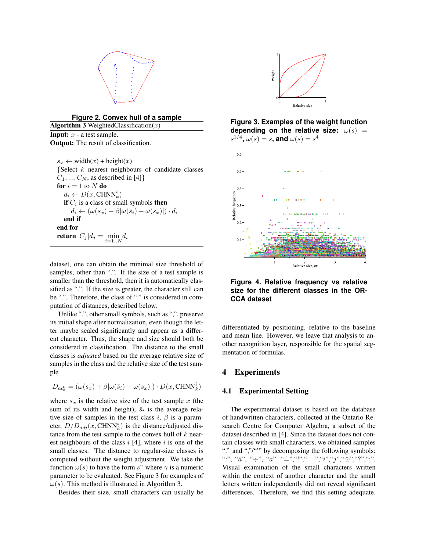

**Figure 2. Convex hull of a sample**

Algorithm 3 WeightedClassification $(x)$ **Input:**  $x$  - a test sample.

Output: The result of classification.

 $s_x \leftarrow \text{width}(x) + \text{height}(x)$ {Select k nearest neighbours of candidate classes  $C_1, \ldots, C_N$ , as described in [4]} for  $i = 1$  to N do  $d_i \leftarrow D(x, \text{CHNN}_k^i)$ **if**  $C_i$  is a class of small symbols **then**  $d_i \leftarrow (\omega(s_x) + \beta |\omega(\bar{s}_i) - \omega(s_x)|) \cdot d_i$ end if end for **return**  $C_j | d_j = \min_{i=1..N} d_i$ 

dataset, one can obtain the minimal size threshold of samples, other than ".". If the size of a test sample is smaller than the threshold, then it is automatically classified as ".". If the size is greater, the character still can be ".". Therefore, the class of "." is considered in computation of distances, described below.

Unlike ".", other small symbols, such as ",", preserve its initial shape after normalization, even though the letter maybe scaled significantly and appear as a different character. Thus, the shape and size should both be considered in classification. The distance to the small classes is *adjusted* based on the average relative size of samples in the class and the relative size of the test sample

$$
D_{adj} = (\omega(s_x) + \beta |\omega(\bar{s}_i) - \omega(s_x)|) \cdot D(x,\mathrm{CHNN}_k^i)
$$

where  $s_x$  is the relative size of the test sample x (the sum of its width and height),  $\bar{s}_i$  is the average relative size of samples in the test class i,  $\beta$  is a parameter,  $D/D_{adj}(x, \text{CHNN}_k^i)$  is the distance/adjusted distance from the test sample to the convex hull of  $k$  nearest neighbours of the class  $i$  [4], where  $i$  is one of the small classes. The distance to regular-size classes is computed without the weight adjustment. We take the function  $\omega(s)$  to have the form  $s^{\gamma}$  where  $\gamma$  is a numeric parameter to be evaluated. See Figure 3 for examples of  $\omega(s)$ . This method is illustrated in Algorithm 3.

Besides their size, small characters can usually be



**Figure 3. Examples of the weight function depending on the relative size:**  $\omega(s)$  =  $s^{1/4}$ ,  $\omega(s)=s$ , and  $\omega(s)=s^4$ 



**Figure 4. Relative frequency vs relative size for the different classes in the OR-CCA dataset**

differentiated by positioning, relative to the baseline and mean line. However, we leave that analysis to another recognition layer, responsible for the spatial segmentation of formulas.

# 4 Experiments

### 4.1 Experimental Setting

The experimental dataset is based on the database of handwritten characters, collected at the Ontario Research Centre for Computer Algebra, a subset of the dataset described in [4]. Since the dataset does not contain classes with small characters, we obtained samples "." and ","/"" by decomposing the following symbols: ":", "a¨", "÷", "a˙ ", " .=","!",". . .","i","j","","?",";". Visual examination of the small characters written within the context of another character and the small letters written independently did not reveal significant differences. Therefore, we find this setting adequate.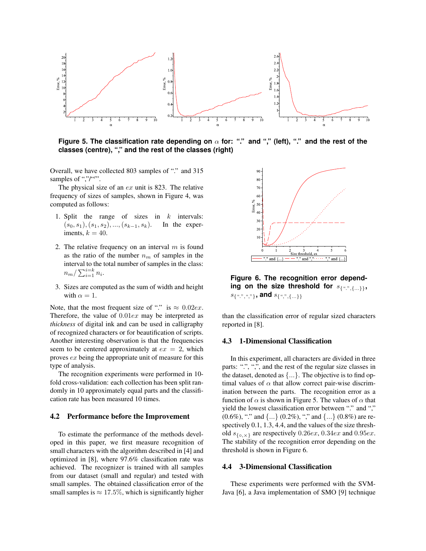

**Figure 5. The classification rate depending on** α **for: "." and "," (left), "." and the rest of the classes (centre), "," and the rest of the classes (right)**

Overall, we have collected 803 samples of "." and 315 samples of ","/"".

The physical size of an  $ex$  unit is 823. The relative frequency of sizes of samples, shown in Figure 4, was computed as follows:

- 1. Split the range of sizes in  $k$  intervals:  $(s_0, s_1), (s_1, s_2), ..., (s_{k-1}, s_k).$  In the experiments,  $k = 40$ .
- 2. The relative frequency on an interval  $m$  is found as the ratio of the number  $n_m$  of samples in the interval to the total number of samples in the class:  $n_m / \sum_{i=1}^{i=k} n_i$ .
- 3. Sizes are computed as the sum of width and height with  $\alpha = 1$ .

Note, that the most frequent size of "." is  $\approx 0.02$ ex. Therefore, the value of 0.01ex may be interpreted as *thickness* of digital ink and can be used in calligraphy of recognized characters or for beautification of scripts. Another interesting observation is that the frequencies seem to be centered approximately at  $ex = 2$ , which proves ex being the appropriate unit of measure for this type of analysis.

The recognition experiments were performed in 10 fold cross-validation: each collection has been split randomly in 10 approximately equal parts and the classification rate has been measured 10 times.

#### 4.2 Performance before the Improvement

To estimate the performance of the methods developed in this paper, we first measure recognition of small characters with the algorithm described in [4] and optimized in [8], where 97.6% classification rate was achieved. The recognizer is trained with all samples from our dataset (small and regular) and tested with small samples. The obtained classification error of the small samples is  $\approx 17.5\%$ , which is significantly higher



**Figure 6. The recognition error depend**ing on the size threshold for  $s_{\{x,y\},\{\dots\}}$  $s_{\{x'',',x''\}}$ , and  $s_{\{x'',',\{\ldots\}\}}$ 

than the classification error of regular sized characters reported in [8].

#### 4.3 1-Dimensional Classification

In this experiment, all characters are divided in three parts: ".", ",", and the rest of the regular size classes in the dataset, denoted as  $\{...\}$ . The objective is to find optimal values of  $\alpha$  that allow correct pair-wise discrimination between the parts. The recognition error as a function of  $\alpha$  is shown in Figure 5. The values of  $\alpha$  that yield the lowest classification error between "." and ","  $(0.6\%)$ , "." and  $\{...\}$   $(0.2\%)$ , "," and  $\{...\}$   $(0.8\%)$  are respectively 0.1, 1.3, 4.4, and the values of the size threshold  $s_{\{\circ,\times\}}$  are respectively 0.26ex, 0.34ex and 0.95ex. The stability of the recognition error depending on the threshold is shown in Figure 6.

## 4.4 3-Dimensional Classification

These experiments were performed with the SVM-Java [6], a Java implementation of SMO [9] technique